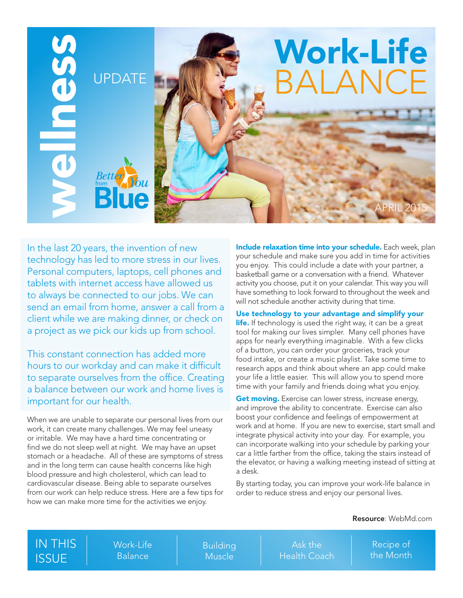

In the last 20 years, the invention of new technology has led to more stress in our lives. Personal computers, laptops, cell phones and tablets with internet access have allowed us to always be connected to our jobs. We can send an email from home, answer a call from a client while we are making dinner, or check on a project as we pick our kids up from school.

This constant connection has added more hours to our workday and can make it difficult to separate ourselves from the office. Creating a balance between our work and home lives is important for our health.

When we are unable to separate our personal lives from our work, it can create many challenges. We may feel uneasy or irritable. We may have a hard time concentrating or find we do not sleep well at night. We may have an upset stomach or a headache. All of these are symptoms of stress and in the long term can cause health concerns like high blood pressure and high cholesterol, which can lead to cardiovascular disease. Being able to separate ourselves from our work can help reduce stress. Here are a few tips for how we can make more time for the activities we enjoy.

Include relaxation time into your schedule. Each week, plan your schedule and make sure you add in time for activities you enjoy. This could include a date with your partner, a basketball game or a conversation with a friend. Whatever activity you choose, put it on your calendar. This way you will have something to look forward to throughout the week and will not schedule another activity during that time.

Use technology to your advantage and simplify your **life.** If technology is used the right way, it can be a great tool for making our lives simpler. Many cell phones have apps for nearly everything imaginable. With a few clicks of a button, you can order your groceries, track your food intake, or create a music playlist. Take some time to research apps and think about where an app could make your life a little easier. This will allow you to spend more time with your family and friends doing what you enjoy.

Get moving. Exercise can lower stress, increase energy, and improve the ability to concentrate. Exercise can also boost your confidence and feelings of empowerment at work and at home. If you are new to exercise, start small and integrate physical activity into your day. For example, you can incorporate walking into your schedule by parking your car a little farther from the office, taking the stairs instead of the elevator, or having a walking meeting instead of sitting at a desk.

By starting today, you can improve your work-life balance in order to reduce stress and enjoy our personal lives.

#### Resource: WebMd.com

| <b>IN THIS</b> | Work-Life | Building      | Ask the             | Recipe of   |
|----------------|-----------|---------------|---------------------|-------------|
| <b>ISSUE</b>   | Balance ' | <b>Muscle</b> | <b>Health Coach</b> | Ithe Month' |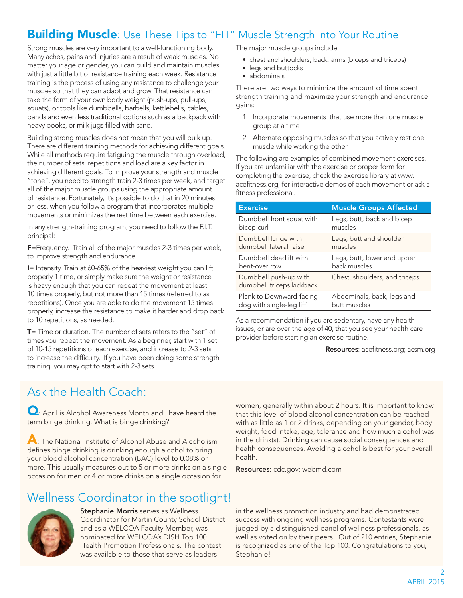## **Building Muscle:** Use These Tips to "FIT" Muscle Strength Into Your Routine

Strong muscles are very important to a well-functioning body. Many aches, pains and injuries are a result of weak muscles. No matter your age or gender, you can build and maintain muscles with just a little bit of resistance training each week. Resistance training is the process of using any resistance to challenge your muscles so that they can adapt and grow. That resistance can take the form of your own body weight (push-ups, pull-ups, squats), or tools like dumbbells, barbells, kettlebells, cables, bands and even less traditional options such as a backpack with heavy books, or milk jugs filled with sand.

Building strong muscles does not mean that you will bulk up. There are different training methods for achieving different goals. While all methods require fatiguing the muscle through overload, the number of sets, repetitions and load are a key factor in achieving different goals. To improve your strength and muscle "tone", you need to strength train 2-3 times per week, and target all of the major muscle groups using the appropriate amount of resistance. Fortunately, it's possible to do that in 20 minutes or less, when you follow a program that incorporates multiple movements or minimizes the rest time between each exercise.

In any strength-training program, you need to follow the F.I.T. principal:

F=Frequency. Train all of the major muscles 2-3 times per week, to improve strength and endurance.

I= Intensity. Train at 60-65% of the heaviest weight you can lift properly 1 time, or simply make sure the weight or resistance is heavy enough that you can repeat the movement at least 10 times properly, but not more than 15 times (referred to as repetitions). Once you are able to do the movement 15 times properly, increase the resistance to make it harder and drop back to 10 repetitions, as needed.

T= Time or duration. The number of sets refers to the "set" of times you repeat the movement. As a beginner, start with 1 set of 10-15 repetitions of each exercise, and increase to 2-3 sets to increase the difficulty. If you have been doing some strength training, you may opt to start with 2-3 sets.

# Ask the Health Coach:

**Q**: April is Alcohol Awareness Month and I have heard the term binge drinking. What is binge drinking?

A: The National Institute of Alcohol Abuse and Alcoholism defines binge drinking is drinking enough alcohol to bring your blood alcohol concentration (BAC) level to 0.08% or more. This usually measures out to 5 or more drinks on a single occasion for men or 4 or more drinks on a single occasion for

Wellness Coordinator in the spotlight!



Stephanie Morris serves as Wellness Coordinator for Martin County School District and as a WELCOA Faculty Member, was nominated for WELCOA's DISH Top 100 Health Promotion Professionals. The contest was available to those that serve as leaders

The major muscle groups include:

- chest and shoulders, back, arms (biceps and triceps)
- legs and buttocks
- abdominals

There are two ways to minimize the amount of time spent strength training and maximize your strength and endurance gains:

- 1. Incorporate movements that use more than one muscle group at a time
- 2. Alternate opposing muscles so that you actively rest one muscle while working the other

The following are examples of combined movement exercises. If you are unfamiliar with the exercise or proper form for completing the exercise, check the exercise library at www. acefitness.org, for interactive demos of each movement or ask a fitness professional.

| <b>Exercise</b>                                    | <b>Muscle Groups Affected</b> |
|----------------------------------------------------|-------------------------------|
| Dumbbell front squat with                          | Legs, butt, back and bicep    |
| bicep curl                                         | muscles                       |
| Dumbbell lunge with                                | Legs, butt and shoulder       |
| dumbbell lateral raise                             | muscles                       |
| Dumbbell deadlift with                             | Legs, butt, lower and upper   |
| bent-over row                                      | back muscles                  |
| Dumbbell push-up with<br>dumbbell triceps kickback | Chest, shoulders, and triceps |
| Plank to Downward-facing                           | Abdominals, back, legs and    |
| dog with single-leg lift`                          | butt muscles                  |

As a recommendation if you are sedentary, have any health issues, or are over the age of 40, that you see your health care provider before starting an exercise routine.

Resources: acefitness.org; acsm.org

women, generally within about 2 hours. It is important to know that this level of blood alcohol concentration can be reached with as little as 1 or 2 drinks, depending on your gender, body weight, food intake, age, tolerance and how much alcohol was in the drink(s). Drinking can cause social consequences and health consequences. Avoiding alcohol is best for your overall health.

Resources: cdc.gov; webmd.com

in the wellness promotion industry and had demonstrated success with ongoing wellness programs. Contestants were judged by a distinguished panel of wellness professionals, as well as voted on by their peers. Out of 210 entries, Stephanie is recognized as one of the Top 100. Congratulations to you, Stephanie!